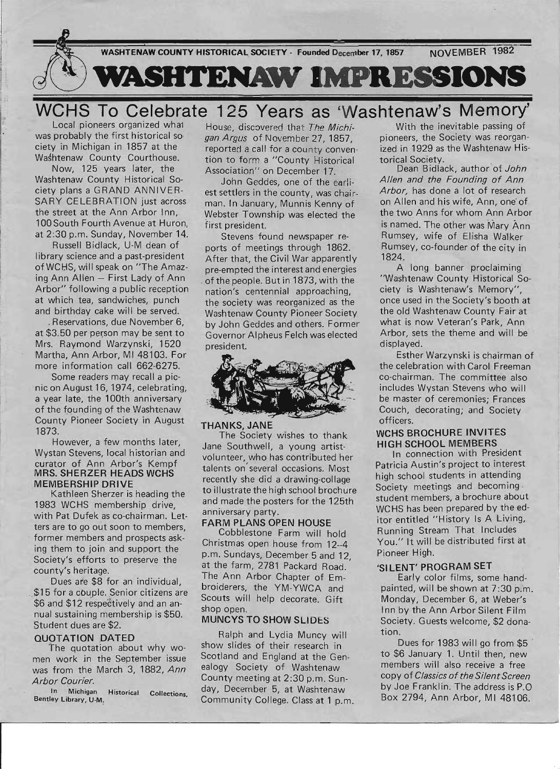

Local pioneers organized wha1 was probably the first historical so ciety in Michigan in 1857 at the Washtenaw County Courthouse.

Now, 125 years later, the Washtenaw County Historical Society plans a GRAND ANNIVER-SARY CELEBRATION just across the street at the Ann Arbor Inn, 100 South Fourth Avenue at Huron. at 2:30 p.m. Sunday, November 14.

Russell Bidlack, U-M dean of library science and a past-president of WCHS, will speak on "The Amaz $ing Ann$  Allen  $-$  First Lady of Ann Arbor" following a public reception at which tea, sandwiches, punch and birthday cake will be served.

. Reservations, due November 6, at \$3.50 per person may be sent to . Mrs. Raymond Warzynski, 1520 Martha, Ann Arbor, MI 48103. For more information call 662-6275.

Some readers may recall a pic nic on August 16, 1974, celebrating, a year late, the 100th anniversary of the founding of the Washtenaw County Pioneer Society in August 1873.

However, a few months later, Wystan Stevens, local historian and curator of Ann Arbor's Kempf MRS. **SHERZER HEADS WCHS MEMBERSHIP DRIVE** 

Kathleen Sherzer is heading the 1983 WCHS membership drive, with Pat Dufek as co-chairman. Letters are to go out soon to members, . former members and prospects asking them to join and support the Society's efforts to preserve the county's heritage.

Dues are \$8 for an individual, \$15 for a couple. Senior citizens are \$6 and \$12 respectively and an annual sustaining membership is \$50. Student dues are \$2.

# **QUOTATION DATED**

The quotation about why women work in the September issue was from the March 3, 1882, Ann Arbor Courier.

In Michigan Historical Collections, Bentley Library, U-M,

House, discovered that The Michigan Argus of November 27, 1857. reported a call for a county convention to form a "County Historical Association" on December 17.

John Geddes, one of the earliest settlers in the county, was chairman. In January, Munnis Kenny of Webster Township was elected the first president.

Stevens found newspaper reports of meetings through 1862. After that, the Civil War apparently pre-empted the interest and energies of the people. But in 1873, with the nation's centennial approaching, the society was reorganized as the Washtenaw County Pioneer Society by John Geddes and others. Former Governor Alpheus Felch was elected president.



# **THANKS, JANE**

The Society wishes to thank Jane Southwell, a young artistvolunteer, who has contributed her talents on' several occasions. Most recently she did a drawing-collage to illustrate the high school brochure and made the posters for the 125th anniversary party.

# **FARM PLANS OPEN HOUSE**

Cobblestone Farm will hold Christmas open house from 12--4 p.m. Sundays, December 5 and 12 at the farm, 2781 Packard Road. The Ann Arbor Chapter of Embroiderers, the YM-YWCA and Scouts will help decorate. Gift shop open.

# **MUNCYS TO SHOW SLIDES**

Ralph and Lydia Muncy will show slides of their research in Scotland and England at the Genealogy Society of Washtenaw County meeting at 2:30 p.m. Sunday, December 5, at Washtenaw Community College. Class at 1 p.m.

With the inevitable passing of pioneers, the Society was reorganized in 1929 as the Washtenaw Historical Society.

Dean Bidlack, author of John Allen and the Founding of Ann Arbor, has done a lot of research on Allen and his wife, Ann, one' of the two Anns for whom Ann Arbor is named. The other was Mary Ann Rumsey, wife of Elisha Walker Rumsey, co-founder of the city in 1824.

A long banner proclaiming 'Washtenaw County Historical Society is Washtenaw's Memory", once used in the Society's booth at the old Washtenaw County Fair at what is now Veteran's Park, Ann Arbor, sets the theme and will be displayed.

Esther Warzynski is chairman of the celebration with Carol Freeman co-chairman. The committee also includes Wystan Stevens who will be master of ceremonies; Frances Couch, decorating; and Society officers.

# **WCHS BROCHURE INVITES HIGH SCHOOL MEMBERS**

In connection with President Patricia Austin's project to interest high school students in attending Society meetings and becoming , student members, a brochure about WCHS has been prepared by the editor entitled "History Is A Living, Running Stream That Includes You." It will be distributed first at Pioneer High.

# **'SI LENT' PROGRAM SET**

Early color films, some handpainted, will be shown at 7:30 p.m. Monday, December 6, at Weber's Inn by the Ann Arbor Silent Film Society. Guests welcome, \$2 donation.

Dues for 1983 will go from \$5 to \$6 January 1. Until then, new ' members will also receive a free copy of Classics of the Silent Screen by Joe Franklin. The address is P.O Box 2794, Ann Arbor, MI 48106.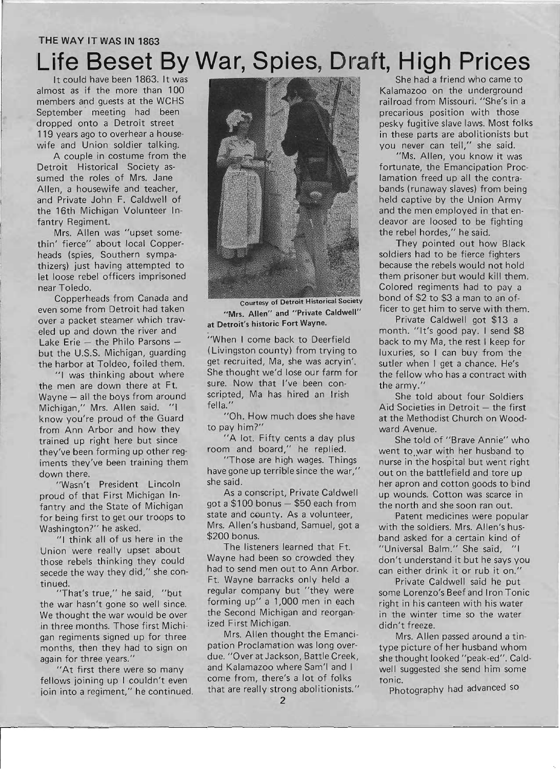# THE WAY IT WAS **IN** 1863

# **Life Beset By War, Spies, Draft, High Prices**

It could have been 1863. It was almost as if the more than 100 members and guests at the WCHS September meeting had been dropped onto a Detroit street 119 years ago to overhear a housewife and Union soldier talking.

A couple in costume from the Detroit Historical Society assumed the roles of Mrs. Jane Allen, a housewife and teacher, and Private John F. Caldwell of the 16th Michigan Volunteer Infantry Regiment.

Mrs. Allen was "upset somethin' fierce" about local Copperheads (spies, Southern sympathizers) just having attempted to let loose rebel officers imprisoned near Toledo.

Copperheads from Canada and even some from Detroit had taken over a packet steamer which trav-. eled up and down the river and Lake Erie  $-$  the Philo Parsons  $$ but the U.S.S. Michigan, guarding the harbor at Toldeo, foiled them.

"I was thinking about where the men are down there at Ft. Wayne - all the boys from around Michigan," Mrs. Allen said. "I know you're proud of the Guard from Ann Arbor and how they trained up right here but since they've been forming up other reg- ' iments they've been training them down there.

"Wasn't President Lincoln proud of that First Michigan Infantry and the State of Michigan for being first to get our troops to Washington?" he asked.

"I think all of us here in the Union were really upset about those rebels thinking they could secede the way they did," she continued.

"That's true," he said, "but the war hasn't gone so well since. We thought the war would be over in three months. Those first Michigan regiments signed up for three months, then they had to sign on again for three years."

"At first there were so many fellows joining up I couldn't even ioin into a regiment," he continued.



Courtesy of Detroit Historical Society "Mrs. Allen" and "Private Caldwell" at Detroit's historic Fort Wayne.

"When I come back to Deerfield (Livingston county) from trying to get recruited, Ma, she was acryin'. She thought we'd lose our farm for sure. Now that I've been conscripted, Ma has hired an Irish fella. "

"Oh. How much does she have to pay him?"

"A lot. Fifty cents a day plus room and board," he replied.

"Those are high wages. Things have gone up terrible since the war," she said.

As a conscript, Private Caldwell got a  $$100$  bonus  $-$  \$50 each from state and county. As a volunteer, Mrs. Allen's husband, Samuel, got a \$200 bonus.

The listeners learned that Ft. Wayne had been so crowded they had to send men out to Ann Arbor. Ft. Wayne barracks only held a regular company but "they were forming up" a 1,000 men in each the Second Michigan and reorganized First Michigan.

Mrs. Allen thought the Emancipation Proclamation was long overdue. "Over at Jackson, Battle Creek, and Kalamazoo where Sam'l and I come from, there's a lot of folks that are really strong abolitionists."

She had a friend who came to Kalamazoo on the underground railroad from Missouri. "She's in a precarious position with those pesky fugitive slave laws. Most folks in these parts are abolitionists but you never can tell," she said.

"Ms. Allen, you know it was fortunate, the Emancipation Proclamation freed up all the contrabands (runaway slaves) from being held captive by the Union Army and the men employed in that endeavor are loosed to be fighting the rebel hordes," he said.

They pointed out how Black soldiers had to be fierce fighters because the rebels would not hold them prisoner but would kill them. Colored regiments had to pay a bond of \$2 to \$3 a man to an officer to get him to serve with them.

Private Caldwell got \$13 a month. "It's good pay. I send \$8 back to my Ma, the rest I keep for luxuries, so I can buy from the sutler when I get a chance. He's the fellow who has a contract with the army."

She told about four Soldiers Aid Societies in Detroit  $-$  the first at the Methodist Church on Woodward Avenue.

She told of "Brave Annie" who went to war with her husband to nurse in the hospital but went right out on the battlefield and tore up her apron and cotton goods to bind up wounds. Cotton was scarce in the north and she soon ran out.

Patent medicines were popular with the soldiers. Mrs. Allen's husband asked for a certain kind of "Universal Balm." She said, "I don't understand it but he says you can either drink it or rub it on."

Private Caldwell said he put some Lorenzo's Beef and Iron Tonic right in his canteen with his water in the winter time so the water didn't freeze.

Mrs. Allen passed around a tintype picture of her husband whom she thought looked "peak-ed". Caldwell suggested she send him some tonic.

Photography had advanced so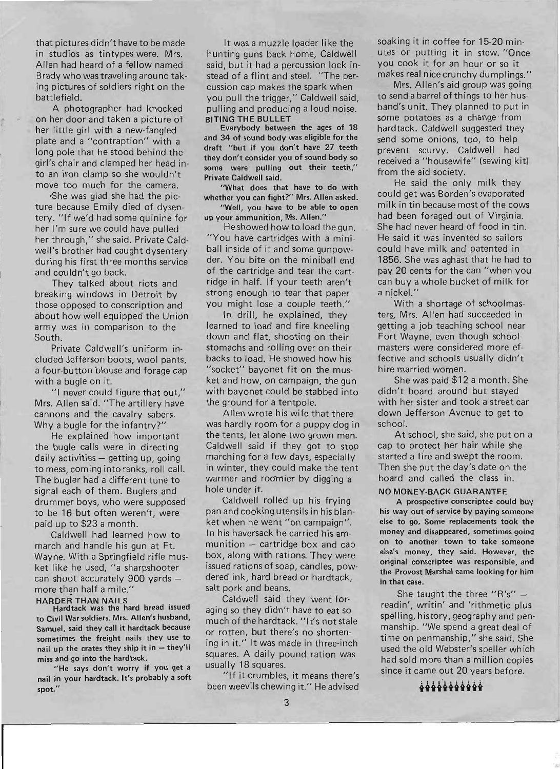that pictures didn't have to be made in studios as tintypes were. Mrs. Allen had heard of a fellow named Brady who was traveling around taking pictures of soldiers right on the battlefield.

A photographer had knocked . on her door and taken a picture of her little girl with a new-fangled plate and a "contraption" with a long pole that he stood behind the girl's chair and clamped her head into an iron clamp so she wouldn't move too much for the camera.

'She was glad she had the picture because Emily died of dysentery. "If we'd had some quinine for her I'm sure we could have pulled her through," she said. Private Caldwell's brother had caught dysentery during his first three months service and couldn't go back.

They talked about riots and breaking windows in Detroit by those opposed to conscription and about how well equipped the Union army was in comparison to the South.

Private Caldwell's uniform in- ' eluded Jefferson boots, wool pants, a four-button blouse and forage cap with a bugle on it.

"1 never could figure that out," Mrs. Allen said. "The artillery have cannons and the cavalry sabers. Why a bugle for the infantry?"

He explained how important the bugle calls were in directing daily activities - getting up, going to mess, coming into ranks, roll call. The bugler had a different tune to signal each of them. Buglers and drummer boys, who were supposed to be 16 but often weren't, were paid up to \$23 a month.

Caldwell had learned how to march and handle his gun at Ft. Wayne. With a Springfield rifle musket like he used, "a sharpshooter can shoot accurately  $900$  yards more than half a mile."

HARDER THAN NAILS Hardtack was the hard bread issued to Civil War soldiers. Mrs. Allen's husband, Samuel, said they call it hardtack because sometimes the freight nails they use to nail up the crates they ship it in  $-$  they'll miss and go into the hardtack.

"He says don't worry if you get a nail in your hardtack. It's probably a soft spot."

It was a muzzle loader like the hunting guns back home, Caldwell said, but it had a percussion lock instead of a flint and steel. "The percussion cap makes the spark when you pull the trigger," Caldwell said, pulling and producing a loud noise. BITING THE BULLET

Everybody between the ages of 18 and 34 of sound body was eligible for the draft "but if you don't have 27 teeth they don't consider you of sound body so some were pulling out their teeth," Private Caldwell said.

"What does that have to do with whether you can fight?" Mrs. Allen asked. "Well, you have to be able to open

up your ammunition, Ms. Allen." He showed how to load the gun.

"You have cartridges with a miniball inside of it and some gunpowder. You bite on the miniball end of the cartridge and tear the cartridge in half. If your teeth aren't strong enough to tear that paper you might lose a couple teeth."

In drill, he explained, they learned to load and fire kneeling down and flat, shooting on their stomachs and rolling over on their backs to load. He showed how his "socket" bayonet fit on the musket and how, on campaign, the gun with bayonet could be stabbed into the ground for a tentpole.

Allen wrote his wife that there was hardly room for a puppy dog in the tents, let alone two grown men. Caldwell said if they got to stop marching for a few days, especially in winter, they could make the tent warmer and roomier by digging a hole under it.

Caldwell rolled up his frying pan and cooking utensils in his blanket when he went "on campaign". In his haversack he carried his am $m$ unition  $-$  cartridge box and cap box, along with rations. They were issued rations of soap, candles, powdered ink, hard bread or hardtack, salt pork and beans.

Caldwell said they went foraging so they didn't have to eat so much of the hardtack. "It's not stale or rotten, but there's no shortening in it." It was made in three-inch squares. A daily pound ration was usually 18 squares.

"If it crumbles, it means there's been weevils chewing it." He advised soaking it in coffee for 15-20 minutes or putting it in stew. "Once you cook it for an hour or so it makes real nice crunchy dumplings."

Mrs. Allen's aid group was going to send a barrel of things to her husband's unit. They planned to put in some potatoes as a change from hardtack. Caldwell suggested they send some onions, too, to help prevent scurvy. Caldwell had received a "housewife" (sewing kit) from the aid society.

He said the only milk they could get was Borden's evaporated milk in tin because most of the cows had been foraged out of Virginia. She had never heard of food in tin. He said it was invented so sailors could have milk and patented in 1856. She was aghast that he had to pay 20 cents for the can "when you can buy a whole bucket of milk for a nickel."

With a shortage of schoolmasters. Mrs. Allen had succeeded in getting a job teaching school near Fort Wayne, even though school masters were considered more effective and schools usually didn't hire married women.

She was paid \$12 a month. She didn't board around but stayed with her sister and took a street car down Jefferson Avenue to get to school.

At school, she said, she put on a cap to protect her hair while she started a fire and swept the room. Then she put the day's date on the hoard and called the class in.

### NO MONEY-BACK GUARANTEE

A prospective conscriptee could buy his way out of service by paying someone else to go. Some replacements took the money and disappeared, sometimes going on to another town to take someone else's money, they said. However, the original conscriptee was responsible, and the Provost Marshal came looking for him in that case.

She taught the three " $R's''$ readin', writin' and 'rithmetic plus spelling, history, geography and penmanship. "We spend a great deal of time on penmanship," she said. She used the old Webster's speller which had sold more than a million copies since it came out 20 years before.

**ttttitte**